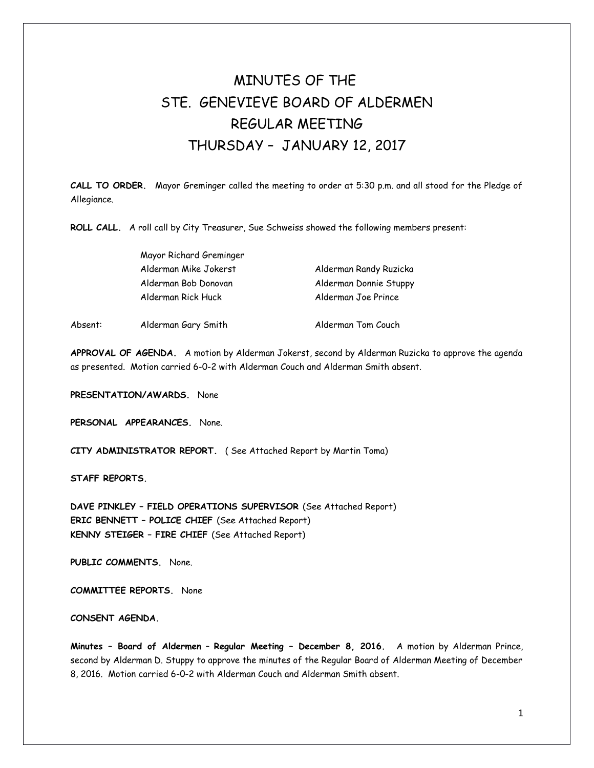# MINUTES OF THE STE. GENEVIEVE BOARD OF ALDERMEN REGULAR MEETING THURSDAY – JANUARY 12, 2017

**CALL TO ORDER.** Mayor Greminger called the meeting to order at 5:30 p.m. and all stood for the Pledge of Allegiance.

**ROLL CALL.** A roll call by City Treasurer, Sue Schweiss showed the following members present:

|         | Mayor Richard Greminger |                        |
|---------|-------------------------|------------------------|
|         | Alderman Mike Jokerst   | Alderman Randy Ruzicka |
|         | Alderman Bob Donovan    | Alderman Donnie Stuppy |
|         | Alderman Rick Huck      | Alderman Joe Prince    |
| Absent: | Alderman Gary Smith     | Alderman Tom Couch     |

**APPROVAL OF AGENDA.** A motion by Alderman Jokerst, second by Alderman Ruzicka to approve the agenda as presented. Motion carried 6-0-2 with Alderman Couch and Alderman Smith absent.

**PRESENTATION/AWARDS.** None

**PERSONAL APPEARANCES.** None.

**CITY ADMINISTRATOR REPORT.** ( See Attached Report by Martin Toma)

**STAFF REPORTS.** 

**DAVE PINKLEY – FIELD OPERATIONS SUPERVISOR** (See Attached Report) **ERIC BENNETT – POLICE CHIEF** (See Attached Report) **KENNY STEIGER – FIRE CHIEF** (See Attached Report)

**PUBLIC COMMENTS.** None.

**COMMITTEE REPORTS.** None

## **CONSENT AGENDA.**

**Minutes – Board of Aldermen** – **Regular Meeting – December 8, 2016.** A motion by Alderman Prince, second by Alderman D. Stuppy to approve the minutes of the Regular Board of Alderman Meeting of December 8, 2016. Motion carried 6-0-2 with Alderman Couch and Alderman Smith absent.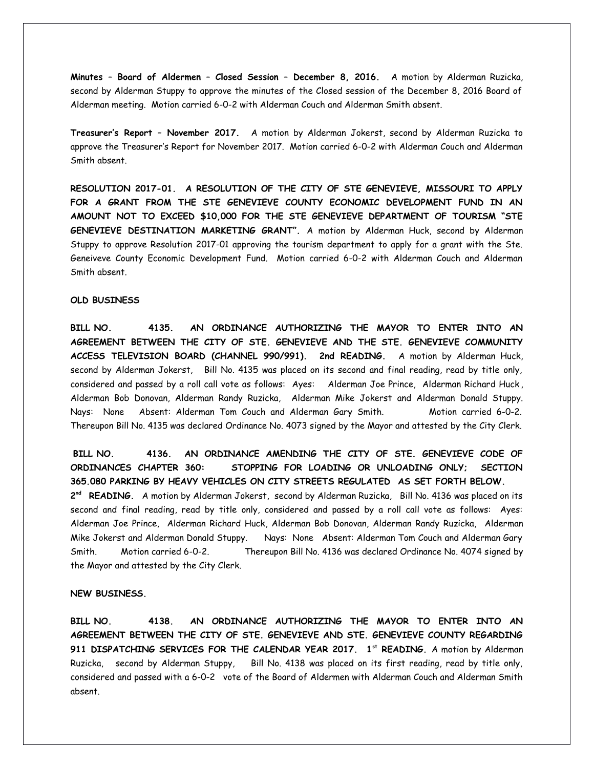**Minutes – Board of Aldermen – Closed Session – December 8, 2016.** A motion by Alderman Ruzicka, second by Alderman Stuppy to approve the minutes of the Closed session of the December 8, 2016 Board of Alderman meeting. Motion carried 6-0-2 with Alderman Couch and Alderman Smith absent.

**Treasurer's Report – November 2017.** A motion by Alderman Jokerst, second by Alderman Ruzicka to approve the Treasurer's Report for November 2017. Motion carried 6-0-2 with Alderman Couch and Alderman Smith absent.

**RESOLUTION 2017-01. A RESOLUTION OF THE CITY OF STE GENEVIEVE, MISSOURI TO APPLY FOR A GRANT FROM THE STE GENEVIEVE COUNTY ECONOMIC DEVELOPMENT FUND IN AN AMOUNT NOT TO EXCEED \$10,000 FOR THE STE GENEVIEVE DEPARTMENT OF TOURISM "STE GENEVIEVE DESTINATION MARKETING GRANT".** A motion by Alderman Huck, second by Alderman Stuppy to approve Resolution 2017-01 approving the tourism department to apply for a grant with the Ste. Geneiveve County Economic Development Fund. Motion carried 6-0-2 with Alderman Couch and Alderman Smith absent.

## **OLD BUSINESS**

**BILL NO. 4135. AN ORDINANCE AUTHORIZING THE MAYOR TO ENTER INTO AN AGREEMENT BETWEEN THE CITY OF STE. GENEVIEVE AND THE STE. GENEVIEVE COMMUNITY ACCESS TELEVISION BOARD (CHANNEL 990/991). 2nd READING.** A motion by Alderman Huck, second by Alderman Jokerst, Bill No. 4135 was placed on its second and final reading, read by title only, considered and passed by a roll call vote as follows: Ayes: Alderman Joe Prince, Alderman Richard Huck , Alderman Bob Donovan, Alderman Randy Ruzicka, Alderman Mike Jokerst and Alderman Donald Stuppy. Nays: None Absent: Alderman Tom Couch and Alderman Gary Smith. Motion carried 6-0-2. Thereupon Bill No. 4135 was declared Ordinance No. 4073 signed by the Mayor and attested by the City Clerk.

**BILL NO. 4136. AN ORDINANCE AMENDING THE CITY OF STE. GENEVIEVE CODE OF ORDINANCES CHAPTER 360: STOPPING FOR LOADING OR UNLOADING ONLY; SECTION 365.080 PARKING BY HEAVY VEHICLES ON CITY STREETS REGULATED AS SET FORTH BELOW. 2 nd READING.** A motion by Alderman Jokerst, second by Alderman Ruzicka, Bill No. 4136 was placed on its second and final reading, read by title only, considered and passed by a roll call vote as follows: Ayes: Alderman Joe Prince, Alderman Richard Huck, Alderman Bob Donovan, Alderman Randy Ruzicka, Alderman Mike Jokerst and Alderman Donald Stuppy. Nays: None Absent: Alderman Tom Couch and Alderman Gary Smith. Motion carried 6-0-2. Thereupon Bill No. 4136 was declared Ordinance No. 4074 signed by the Mayor and attested by the City Clerk.

#### **NEW BUSINESS.**

**BILL NO. 4138. AN ORDINANCE AUTHORIZING THE MAYOR TO ENTER INTO AN AGREEMENT BETWEEN THE CITY OF STE. GENEVIEVE AND STE. GENEVIEVE COUNTY REGARDING 911 DISPATCHING SERVICES FOR THE CALENDAR YEAR 2017. 1st READING.** A motion by Alderman Ruzicka, second by Alderman Stuppy, Bill No. 4138 was placed on its first reading, read by title only, considered and passed with a 6-0-2 vote of the Board of Aldermen with Alderman Couch and Alderman Smith absent.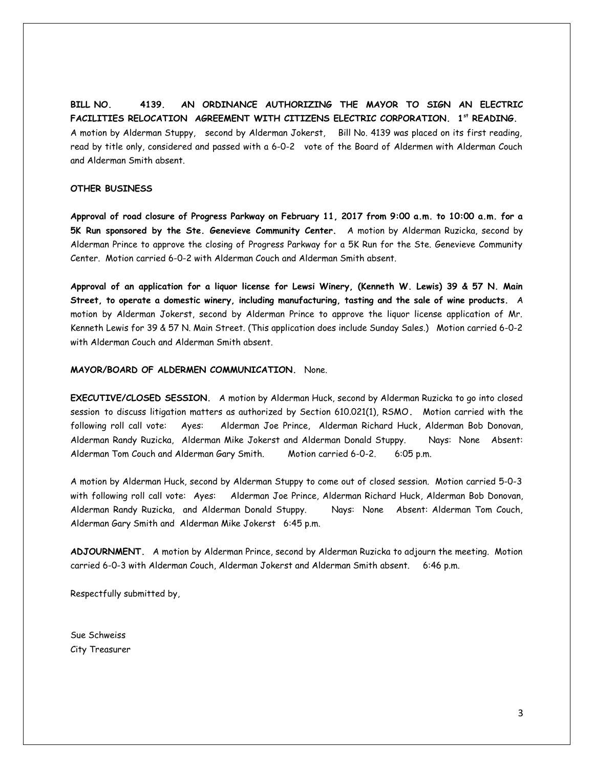**BILL NO. 4139. AN ORDINANCE AUTHORIZING THE MAYOR TO SIGN AN ELECTRIC FACILITIES RELOCATION AGREEMENT WITH CITIZENS ELECTRIC CORPORATION. 1st READING.**  A motion by Alderman Stuppy, second by Alderman Jokerst, Bill No. 4139 was placed on its first reading, read by title only, considered and passed with a 6-0-2 vote of the Board of Aldermen with Alderman Couch and Alderman Smith absent.

## **OTHER BUSINESS**

**Approval of road closure of Progress Parkway on February 11, 2017 from 9:00 a.m. to 10:00 a.m. for a 5K Run sponsored by the Ste. Genevieve Community Center.** A motion by Alderman Ruzicka, second by Alderman Prince to approve the closing of Progress Parkway for a 5K Run for the Ste. Genevieve Community Center. Motion carried 6-0-2 with Alderman Couch and Alderman Smith absent.

**Approval of an application for a liquor license for Lewsi Winery, (Kenneth W. Lewis) 39 & 57 N. Main Street, to operate a domestic winery, including manufacturing, tasting and the sale of wine products.** A motion by Alderman Jokerst, second by Alderman Prince to approve the liquor license application of Mr. Kenneth Lewis for 39 & 57 N. Main Street. (This application does include Sunday Sales.) Motion carried 6-0-2 with Alderman Couch and Alderman Smith absent.

## **MAYOR/BOARD OF ALDERMEN COMMUNICATION.** None.

**EXECUTIVE/CLOSED SESSION.** A motion by Alderman Huck, second by Alderman Ruzicka to go into closed session to discuss litigation matters as authorized by Section 610.021(1), RSMO**.** Motion carried with the following roll call vote: Ayes: Alderman Joe Prince, Alderman Richard Huck, Alderman Bob Donovan, Alderman Randy Ruzicka, Alderman Mike Jokerst and Alderman Donald Stuppy. Nays: None Absent: Alderman Tom Couch and Alderman Gary Smith. Motion carried 6-0-2. 6:05 p.m.

A motion by Alderman Huck, second by Alderman Stuppy to come out of closed session. Motion carried 5-0-3 with following roll call vote: Ayes: Alderman Joe Prince, Alderman Richard Huck, Alderman Bob Donovan, Alderman Randy Ruzicka, and Alderman Donald Stuppy. Nays: None Absent: Alderman Tom Couch, Alderman Gary Smith and Alderman Mike Jokerst 6:45 p.m.

**ADJOURNMENT.** A motion by Alderman Prince, second by Alderman Ruzicka to adjourn the meeting. Motion carried 6-0-3 with Alderman Couch, Alderman Jokerst and Alderman Smith absent. 6:46 p.m.

Respectfully submitted by,

Sue Schweiss City Treasurer